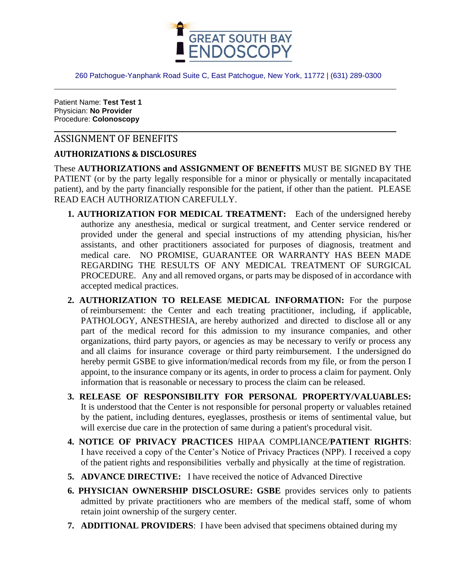

260 Patchogue-Yanphank Road Suite C, East Patchogue, New York, 11772 | (631) 289-0300

Patient Name: **Test Test 1** Physician: **No Provider** Procedure: **Colonoscopy**

# ASSIGNMENT OF BENEFITS

## **AUTHORIZATIONS & DISCLOSURES**

These **AUTHORIZATIONS and ASSIGNMENT OF BENEFITS** MUST BE SIGNED BY THE PATIENT (or by the party legally responsible for a minor or physically or mentally incapacitated patient), and by the party financially responsible for the patient, if other than the patient. PLEASE READ EACH AUTHORIZATION CAREFULLY.

- **1. AUTHORIZATION FOR MEDICAL TREATMENT:** Each of the undersigned hereby authorize any anesthesia, medical or surgical treatment, and Center service rendered or provided under the general and special instructions of my attending physician, his/her assistants, and other practitioners associated for purposes of diagnosis, treatment and medical care. NO PROMISE, GUARANTEE OR WARRANTY HAS BEEN MADE REGARDING THE RESULTS OF ANY MEDICAL TREATMENT OF SURGICAL PROCEDURE. Any and all removed organs, or parts may be disposed of in accordance with accepted medical practices.
- **2. AUTHORIZATION TO RELEASE MEDICAL INFORMATION:** For the purpose of reimbursement: the Center and each treating practitioner, including, if applicable, PATHOLOGY, ANESTHESIA, are hereby authorized and directed to disclose all or any part of the medical record for this admission to my insurance companies, and other organizations, third party payors, or agencies as may be necessary to verify or process any and all claims for insurance coverage or third party reimbursement. I the undersigned do hereby permit GSBE to give information/medical records from my file, or from the person I appoint, to the insurance company or its agents, in order to process a claim for payment. Only information that is reasonable or necessary to process the claim can be released.
- **3. RELEASE OF RESPONSIBILITY FOR PERSONAL PROPERTY/VALUABLES:**  It is understood that the Center is not responsible for personal property or valuables retained by the patient, including dentures, eyeglasses, prosthesis or items of sentimental value, but will exercise due care in the protection of same during a patient's procedural visit.
- **4. NOTICE OF PRIVACY PRACTICES** HIPAA COMPLIANCE/**PATIENT RIGHTS**: I have received a copy of the Center's Notice of Privacy Practices (NPP). I received a copy of the patient rights and responsibilities verbally and physically at the time of registration.
- **5. ADVANCE DIRECTIVE:** I have received the notice of Advanced Directive
- **6. PHYSICIAN OWNERSHIP DISCLOSURE: GSBE** provides services only to patients admitted by private practitioners who are members of the medical staff, some of whom retain joint ownership of the surgery center.
- **7. ADDITIONAL PROVIDERS**: I have been advised that specimens obtained during my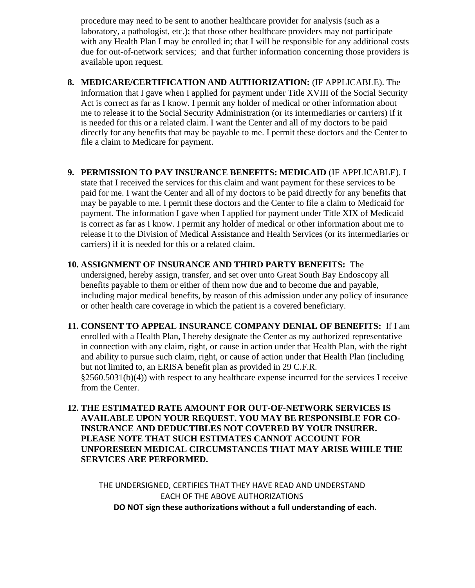procedure may need to be sent to another healthcare provider for analysis (such as a laboratory, a pathologist, etc.); that those other healthcare providers may not participate with any Health Plan I may be enrolled in; that I will be responsible for any additional costs due for out-of-network services; and that further information concerning those providers is available upon request.

**8. MEDICARE/CERTIFICATION AND AUTHORIZATION:** (IF APPLICABLE). The information that I gave when I applied for payment under Title XVIII of the Social Security Act is correct as far as I know. I permit any holder of medical or other information about me to release it to the Social Security Administration (or its intermediaries or carriers) if it is needed for this or a related claim. I want the Center and all of my doctors to be paid directly for any benefits that may be payable to me. I permit these doctors and the Center to file a claim to Medicare for payment.

#### **9. PERMISSION TO PAY INSURANCE BENEFITS: MEDICAID** (IF APPLICABLE). I

state that I received the services for this claim and want payment for these services to be paid for me. I want the Center and all of my doctors to be paid directly for any benefits that may be payable to me. I permit these doctors and the Center to file a claim to Medicaid for payment. The information I gave when I applied for payment under Title XIX of Medicaid is correct as far as I know. I permit any holder of medical or other information about me to release it to the Division of Medical Assistance and Health Services (or its intermediaries or carriers) if it is needed for this or a related claim.

#### **10. ASSIGNMENT OF INSURANCE AND THIRD PARTY BENEFITS:** The

undersigned, hereby assign, transfer, and set over unto Great South Bay Endoscopy all benefits payable to them or either of them now due and to become due and payable, including major medical benefits, by reason of this admission under any policy of insurance or other health care coverage in which the patient is a covered beneficiary.

**11. CONSENT TO APPEAL INSURANCE COMPANY DENIAL OF BENEFITS:** If I am enrolled with a Health Plan, I hereby designate the Center as my authorized representative in connection with any claim, right, or cause in action under that Health Plan, with the right and ability to pursue such claim, right, or cause of action under that Health Plan (including but not limited to, an ERISA benefit plan as provided in 29 C.F.R. §2560.5031(b)(4)) with respect to any healthcare expense incurred for the services I receive from the Center.

## **12. THE ESTIMATED RATE AMOUNT FOR OUT-OF-NETWORK SERVICES IS AVAILABLE UPON YOUR REQUEST. YOU MAY BE RESPONSIBLE FOR CO-INSURANCE AND DEDUCTIBLES NOT COVERED BY YOUR INSURER. PLEASE NOTE THAT SUCH ESTIMATES CANNOT ACCOUNT FOR UNFORESEEN MEDICAL CIRCUMSTANCES THAT MAY ARISE WHILE THE SERVICES ARE PERFORMED.**

THE UNDERSIGNED, CERTIFIES THAT THEY HAVE READ AND UNDERSTAND EACH OF THE ABOVE AUTHORIZATIONS **DO NOT sign these authorizations without a full understanding of each.**